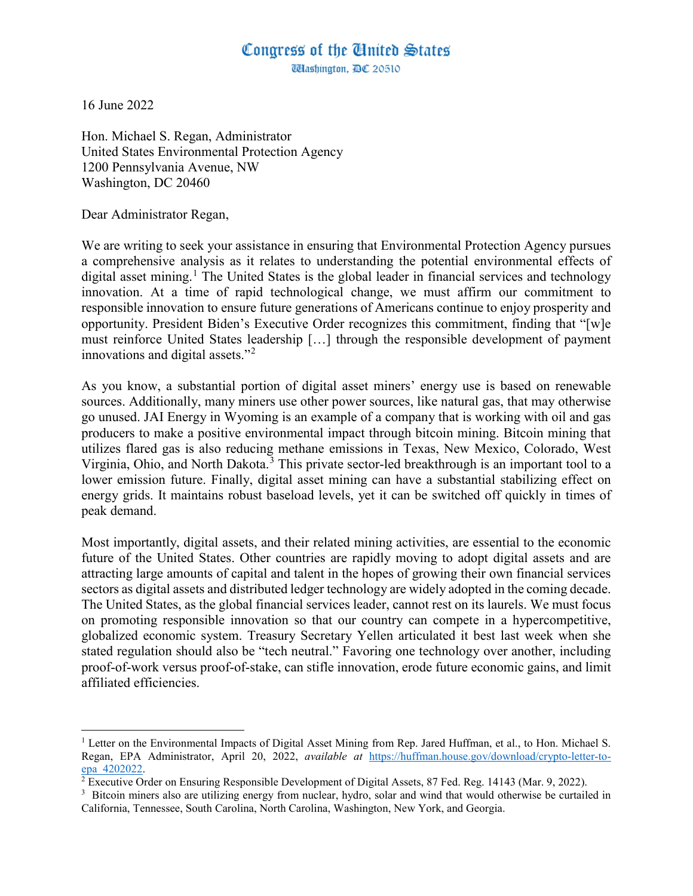## Congress of the Ginited States

*Ulashington, DC 20510* 

16 June 2022

 $\overline{a}$ 

Hon. Michael S. Regan, Administrator United States Environmental Protection Agency 1200 Pennsylvania Avenue, NW Washington, DC 20460

Dear Administrator Regan,

We are writing to seek your assistance in ensuring that Environmental Protection Agency pursues a comprehensive analysis as it relates to understanding the potential environmental effects of digital asset mining.<sup>[1](#page-0-0)</sup> The United States is the global leader in financial services and technology innovation. At a time of rapid technological change, we must affirm our commitment to responsible innovation to ensure future generations of Americans continue to enjoy prosperity and opportunity. President Biden's Executive Order recognizes this commitment, finding that "[w]e must reinforce United States leadership […] through the responsible development of payment innovations and digital assets."[2](#page-0-1)

As you know, a substantial portion of digital asset miners' energy use is based on renewable sources. Additionally, many miners use other power sources, like natural gas, that may otherwise go unused. JAI Energy in Wyoming is an example of a company that is working with oil and gas producers to make a positive environmental impact through bitcoin mining. Bitcoin mining that utilizes flared gas is also reducing methane emissions in Texas, New Mexico, Colorado, West Virginia, Ohio, and North Dakota.<sup>[3](#page-0-2)</sup> This private sector-led breakthrough is an important tool to a lower emission future. Finally, digital asset mining can have a substantial stabilizing effect on energy grids. It maintains robust baseload levels, yet it can be switched off quickly in times of peak demand.

Most importantly, digital assets, and their related mining activities, are essential to the economic future of the United States. Other countries are rapidly moving to adopt digital assets and are attracting large amounts of capital and talent in the hopes of growing their own financial services sectors as digital assets and distributed ledger technology are widely adopted in the coming decade. The United States, as the global financial services leader, cannot rest on its laurels. We must focus on promoting responsible innovation so that our country can compete in a hypercompetitive, globalized economic system. Treasury Secretary Yellen articulated it best last week when she stated regulation should also be "tech neutral." Favoring one technology over another, including proof-of-work versus proof-of-stake, can stifle innovation, erode future economic gains, and limit affiliated efficiencies.

<span id="page-0-0"></span><sup>&</sup>lt;sup>1</sup> Letter on the Environmental Impacts of Digital Asset Mining from Rep. Jared Huffman, et al., to Hon. Michael S. Regan, EPA Administrator, April 20, 2022, *available at* [https://huffman.house.gov/download/crypto-letter-to-](https://huffman.house.gov/download/crypto-letter-to-epa_4202022)

<span id="page-0-1"></span> $\sqrt[2]{2}$  Executive Order on Ensuring Responsible Development of Digital Assets, 87 Fed. Reg. 14143 (Mar. 9, 2022).

<span id="page-0-2"></span> $3$  Bitcoin miners also are utilizing energy from nuclear, hydro, solar and wind that would otherwise be curtailed in California, Tennessee, South Carolina, North Carolina, Washington, New York, and Georgia.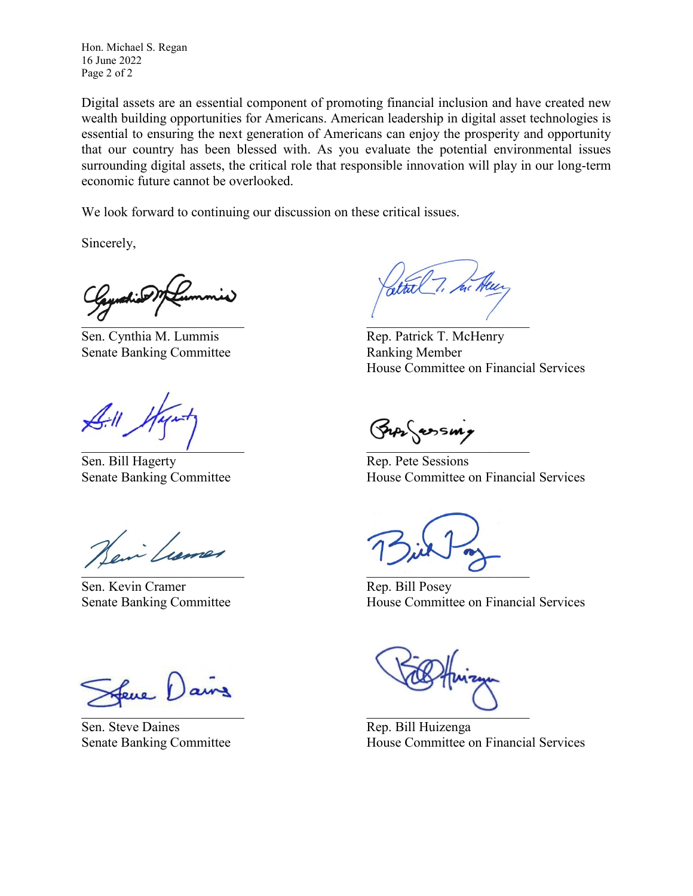Hon. Michael S. Regan 16 June 2022 Page 2 of 2

Digital assets are an essential component of promoting financial inclusion and have created new wealth building opportunities for Americans. American leadership in digital asset technologies is essential to ensuring the next generation of Americans can enjoy the prosperity and opportunity that our country has been blessed with. As you evaluate the potential environmental issues surrounding digital assets, the critical role that responsible innovation will play in our long-term economic future cannot be overlooked.

We look forward to continuing our discussion on these critical issues.

Sincerely,

 $\cdot \sigma$  . The contract of the contract of the contract of the contract of the contract of the contract of the contract of the contract of the contract of the contract of the contract of the contract of the contract of the

Sen. Cynthia M. Lummis Rep. Patrick T. McHenry Senate Banking Committee **Ranking Member** 

 $\blacksquare$ 

Sen. Bill Hagerty Rep. Pete Sessions

Vain Luis

Sen. Kevin Cramer Rep. Bill Posey

Jeve Dan

Sen. Steve Daines Rep. Bill Huizenga

House Committee on Financial Services

Senate Banking Committee House Committee on Financial Services

 $\overline{\phantom{a}}$ 

Senate Banking Committee **House Committee on Financial Services** 

 $\Box$ 

Senate Banking Committee House Committee on Financial Services